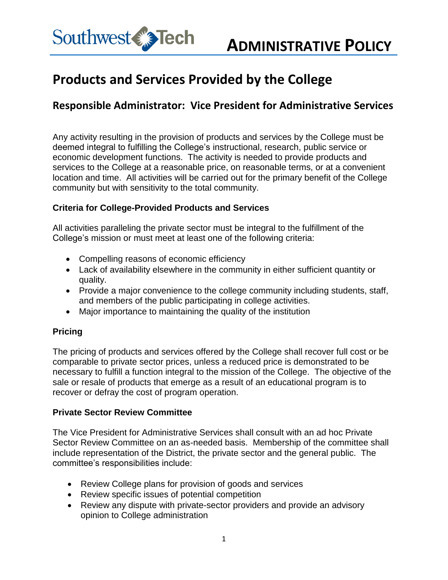

# **Products and Services Provided by the College**

## **Responsible Administrator: Vice President for Administrative Services**

Any activity resulting in the provision of products and services by the College must be deemed integral to fulfilling the College's instructional, research, public service or economic development functions. The activity is needed to provide products and services to the College at a reasonable price, on reasonable terms, or at a convenient location and time. All activities will be carried out for the primary benefit of the College community but with sensitivity to the total community.

#### **Criteria for College-Provided Products and Services**

All activities paralleling the private sector must be integral to the fulfillment of the College's mission or must meet at least one of the following criteria:

- Compelling reasons of economic efficiency
- Lack of availability elsewhere in the community in either sufficient quantity or quality.
- Provide a major convenience to the college community including students, staff, and members of the public participating in college activities.
- Major importance to maintaining the quality of the institution

### **Pricing**

The pricing of products and services offered by the College shall recover full cost or be comparable to private sector prices, unless a reduced price is demonstrated to be necessary to fulfill a function integral to the mission of the College. The objective of the sale or resale of products that emerge as a result of an educational program is to recover or defray the cost of program operation.

#### **Private Sector Review Committee**

The Vice President for Administrative Services shall consult with an ad hoc Private Sector Review Committee on an as-needed basis. Membership of the committee shall include representation of the District, the private sector and the general public. The committee's responsibilities include:

- Review College plans for provision of goods and services
- Review specific issues of potential competition
- Review any dispute with private-sector providers and provide an advisory opinion to College administration